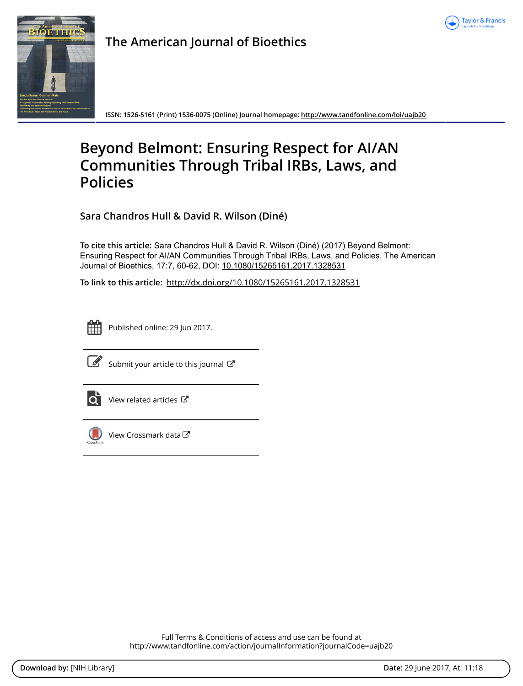



**The American Journal of Bioethics**

**ISSN: 1526-5161 (Print) 1536-0075 (Online) Journal homepage:<http://www.tandfonline.com/loi/uajb20>**

### **Beyond Belmont: Ensuring Respect for AI/AN Communities Through Tribal IRBs, Laws, and Policies**

**Sara Chandros Hull & David R. Wilson (Diné)**

**To cite this article:** Sara Chandros Hull & David R. Wilson (Diné) (2017) Beyond Belmont: Ensuring Respect for AI/AN Communities Through Tribal IRBs, Laws, and Policies, The American Journal of Bioethics, 17:7, 60-62, DOI: [10.1080/15265161.2017.1328531](http://www.tandfonline.com/action/showCitFormats?doi=10.1080/15265161.2017.1328531)

**To link to this article:** <http://dx.doi.org/10.1080/15265161.2017.1328531>



Published online: 29 Jun 2017.



 $\overrightarrow{S}$  [Submit your article to this journal](http://www.tandfonline.com/action/authorSubmission?journalCode=uajb20&show=instructions)  $\overrightarrow{S}$ 



 $\overrightarrow{Q}$  [View related articles](http://www.tandfonline.com/doi/mlt/10.1080/15265161.2017.1328531)  $\overrightarrow{C}$ 



 $\bigcirc$  [View Crossmark data](http://crossmark.crossref.org/dialog/?doi=10.1080/15265161.2017.1328531&domain=pdf&date_stamp=2017-06-29) $\mathbb{Z}$ 

Full Terms & Conditions of access and use can be found at <http://www.tandfonline.com/action/journalInformation?journalCode=uajb20>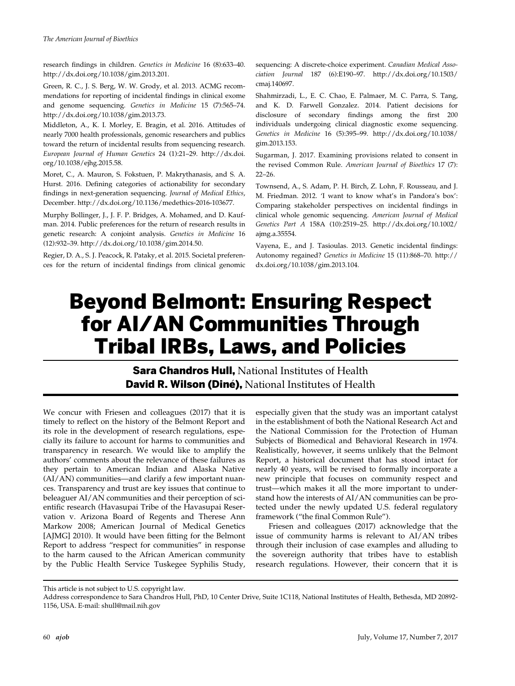research findings in children. Genetics in Medicine 16 (8):633–40. http://dx.doi.org/10.1038/gim.2013.201.

Green, R. C., J. S. Berg, W. W. Grody, et al. 2013. ACMG recommendations for reporting of incidental findings in clinical exome and genome sequencing. Genetics in Medicine 15 (7):565–74. http://dx.doi.org/10.1038/gim.2013.73.

Middleton, A., K. I. Morley, E. Bragin, et al. 2016. Attitudes of nearly 7000 health professionals, genomic researchers and publics toward the return of incidental results from sequencing research. European Journal of Human Genetics 24 (1):21–29. http://dx.doi. org/10.1038/ejhg.2015.58.

Moret, C., A. Mauron, S. Fokstuen, P. Makrythanasis, and S. A. Hurst. 2016. Defining categories of actionability for secondary findings in next-generation sequencing. Journal of Medical Ethics, December. http://dx.doi.org/10.1136/medethics-2016-103677.

Murphy Bollinger, J., J. F. P. Bridges, A. Mohamed, and D. Kaufman. 2014. Public preferences for the return of research results in genetic research: A conjoint analysis. Genetics in Medicine 16 (12):932–39. http://dx.doi.org/10.1038/gim.2014.50.

Regier, D. A., S. J. Peacock, R. Pataky, et al. 2015. Societal preferences for the return of incidental findings from clinical genomic sequencing: A discrete-choice experiment. Canadian Medical Association Journal 187 (6):E190–97. http://dx.doi.org/10.1503/ cmaj.140697.

Shahmirzadi, L., E. C. Chao, E. Palmaer, M. C. Parra, S. Tang, and K. D. Farwell Gonzalez. 2014. Patient decisions for disclosure of secondary findings among the first 200 individuals undergoing clinical diagnostic exome sequencing. Genetics in Medicine 16 (5):395–99. http://dx.doi.org/10.1038/ gim.2013.153.

Sugarman, J. 2017. Examining provisions related to consent in the revised Common Rule. American Journal of Bioethics 17 (7):  $22-26$ .

Townsend, A., S. Adam, P. H. Birch, Z. Lohn, F. Rousseau, and J. M. Friedman. 2012. 'I want to know what's in Pandora's box': Comparing stakeholder perspectives on incidental findings in clinical whole genomic sequencing. American Journal of Medical Genetics Part A 158A (10):2519–25. http://dx.doi.org/10.1002/ ajmg.a.35554.

Vayena, E., and J. Tasioulas. 2013. Genetic incidental findings: Autonomy regained? Genetics in Medicine 15 (11):868–70. http:// dx.doi.org/10.1038/gim.2013.104.

# Beyond Belmont: Ensuring Respect for AI/AN Communities Through Tribal IRBs, Laws, and Policies

### **Sara Chandros Hull, National Institutes of Health** David R. Wilson (Diné), National Institutes of Health

We concur with Friesen and colleagues (2017) that it is timely to reflect on the history of the Belmont Report and its role in the development of research regulations, especially its failure to account for harms to communities and transparency in research. We would like to amplify the authors' comments about the relevance of these failures as they pertain to American Indian and Alaska Native (AI/AN) communities—and clarify a few important nuances. Transparency and trust are key issues that continue to beleaguer AI/AN communities and their perception of scientific research (Havasupai Tribe of the Havasupai Reservation v. Arizona Board of Regents and Therese Ann Markow 2008; American Journal of Medical Genetics [AJMG] 2010). It would have been fitting for the Belmont Report to address "respect for communities" in response to the harm caused to the African American community by the Public Health Service Tuskegee Syphilis Study,

especially given that the study was an important catalyst in the establishment of both the National Research Act and the National Commission for the Protection of Human Subjects of Biomedical and Behavioral Research in 1974. Realistically, however, it seems unlikely that the Belmont Report, a historical document that has stood intact for nearly 40 years, will be revised to formally incorporate a new principle that focuses on community respect and trust—which makes it all the more important to understand how the interests of AI/AN communities can be protected under the newly updated U.S. federal regulatory framework ("the final Common Rule").

Friesen and colleagues (2017) acknowledge that the issue of community harms is relevant to AI/AN tribes through their inclusion of case examples and alluding to the sovereign authority that tribes have to establish research regulations. However, their concern that it is

This article is not subject to U.S. copyright law.

Address correspondence to Sara Chandros Hull, PhD, 10 Center Drive, Suite 1C118, National Institutes of Health, Bethesda, MD 20892- 1156, USA. E-mail: shull@mail.nih.gov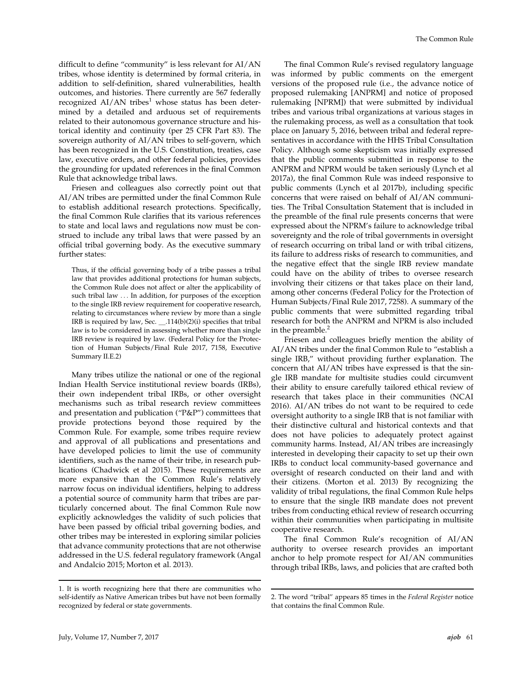difficult to define "community" is less relevant for AI/AN tribes, whose identity is determined by formal criteria, in addition to self-definition, shared vulnerabilities, health outcomes, and histories. There currently are 567 federally recognized  $AI/AN$  tribes<sup>1</sup> whose status has been determined by a detailed and arduous set of requirements related to their autonomous governance structure and historical identity and continuity (per 25 CFR Part 83). The sovereign authority of AI/AN tribes to self-govern, which has been recognized in the U.S. Constitution, treaties, case law, executive orders, and other federal policies, provides the grounding for updated references in the final Common Rule that acknowledge tribal laws.

Friesen and colleagues also correctly point out that AI/AN tribes are permitted under the final Common Rule to establish additional research protections. Specifically, the final Common Rule clarifies that its various references to state and local laws and regulations now must be construed to include any tribal laws that were passed by an official tribal governing body. As the executive summary further states:

Thus, if the official governing body of a tribe passes a tribal law that provides additional protections for human subjects, the Common Rule does not affect or alter the applicability of such tribal law ... In addition, for purposes of the exception to the single IRB review requirement for cooperative research, relating to circumstances where review by more than a single IRB is required by law, Sec. \_\_.114(b)(2)(i) specifies that tribal law is to be considered in assessing whether more than single IRB review is required by law. (Federal Policy for the Protection of Human Subjects/Final Rule 2017, 7158, Executive Summary II.E.2)

Many tribes utilize the national or one of the regional Indian Health Service institutional review boards (IRBs), their own independent tribal IRBs, or other oversight mechanisms such as tribal research review committees and presentation and publication ("P&P") committees that provide protections beyond those required by the Common Rule. For example, some tribes require review and approval of all publications and presentations and have developed policies to limit the use of community identifiers, such as the name of their tribe, in research publications (Chadwick et al 2015). These requirements are more expansive than the Common Rule's relatively narrow focus on individual identifiers, helping to address a potential source of community harm that tribes are particularly concerned about. The final Common Rule now explicitly acknowledges the validity of such policies that have been passed by official tribal governing bodies, and other tribes may be interested in exploring similar policies that advance community protections that are not otherwise addressed in the U.S. federal regulatory framework (Angal and Andalcio 2015; Morton et al. 2013).

The final Common Rule's revised regulatory language was informed by public comments on the emergent versions of the proposed rule (i.e., the advance notice of proposed rulemaking [ANPRM] and notice of proposed rulemaking [NPRM]) that were submitted by individual tribes and various tribal organizations at various stages in the rulemaking process, as well as a consultation that took place on January 5, 2016, between tribal and federal representatives in accordance with the HHS Tribal Consultation Policy. Although some skepticism was initially expressed that the public comments submitted in response to the ANPRM and NPRM would be taken seriously (Lynch et al 2017a), the final Common Rule was indeed responsive to public comments (Lynch et al 2017b), including specific concerns that were raised on behalf of AI/AN communities. The Tribal Consultation Statement that is included in the preamble of the final rule presents concerns that were expressed about the NPRM's failure to acknowledge tribal sovereignty and the role of tribal governments in oversight of research occurring on tribal land or with tribal citizens, its failure to address risks of research to communities, and the negative effect that the single IRB review mandate could have on the ability of tribes to oversee research involving their citizens or that takes place on their land, among other concerns (Federal Policy for the Protection of Human Subjects/Final Rule 2017, 7258). A summary of the public comments that were submitted regarding tribal research for both the ANPRM and NPRM is also included in the preamble. $<sup>2</sup>$ </sup>

Friesen and colleagues briefly mention the ability of AI/AN tribes under the final Common Rule to "establish a single IRB," without providing further explanation. The concern that AI/AN tribes have expressed is that the single IRB mandate for multisite studies could circumvent their ability to ensure carefully tailored ethical review of research that takes place in their communities (NCAI 2016). AI/AN tribes do not want to be required to cede oversight authority to a single IRB that is not familiar with their distinctive cultural and historical contexts and that does not have policies to adequately protect against community harms. Instead, AI/AN tribes are increasingly interested in developing their capacity to set up their own IRBs to conduct local community-based governance and oversight of research conducted on their land and with their citizens. (Morton et al. 2013) By recognizing the validity of tribal regulations, the final Common Rule helps to ensure that the single IRB mandate does not prevent tribes from conducting ethical review of research occurring within their communities when participating in multisite cooperative research.

The final Common Rule's recognition of AI/AN authority to oversee research provides an important anchor to help promote respect for AI/AN communities through tribal IRBs, laws, and policies that are crafted both

<sup>1.</sup> It is worth recognizing here that there are communities who self-identify as Native American tribes but have not been formally recognized by federal or state governments.

<sup>2.</sup> The word "tribal" appears 85 times in the Federal Register notice that contains the final Common Rule.